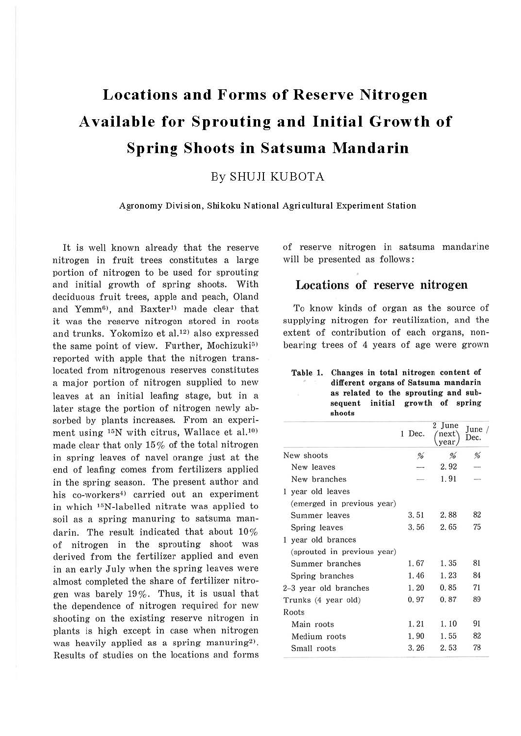# **Locations and Forms of Reserve Nitrogen Available for Sprouting and Initial Growth of Spring Shoots in Satsuma Mandarin**

## By SHUJI KUBOTA

**Agronomy Division, Shikoku National Agricultural Experiment Station** 

It is well known already that the reserve nitrogen in fruit trees constitutes a large portion of nitrogen to be used for sprouting and initial growth of spring shoots. With deciduous fruit trees, apple and peach, Oland and Yemm<sup>6)</sup>, and Baxter<sup>1)</sup> made clear that it was the reserve nitrogen stored in roots and trunks. Yokomizo et al.<sup>12)</sup> also expressed the same point of view. Further, Mochizuki<sup>5)</sup> reported with apple that the nitrogen translocated from nitrogenous reserves constitutes a major portion of nitrogen supplied to new leaves at an initial leafing stage, but in a later stage the portion of nitrogen newly absorbed by plants increases. From an experiment using  $^{15}N$  with citrus, Wallace et al.<sup>10)</sup> made clear that only 15% of the total nitrogen in spring leaves of navel orange just at the end of leafing comes from fertilizers applied in the spring season. The present author and his co-workers<sup>4)</sup> carried out an experiment in which <sup>15</sup>N-labelled nitrate was applied to soil as a spring manuring to satsuma mandarin. The result indicated that about 10% of nitrogen in the sprouting shoot was derived from the fertilizer applied and even in an early July when the spring leaves were almost completed the share of fertilizer nitrogen was barely 19%. Thus, it is usual that the dependence of nitrogen required for new shooting on the existing reserve nitrogen in plants is high except in case when nitrogen was heavily applied as a spring manuring<sup>2)</sup>. Results of studies on the locations and forms of reserve nitrogen in satsuma mandarine will be presented as follows:

### Locations of reserve nitrogen

To know kinds of organ as the source of supplying nitrogen for reutilization, and the extent of contribution of each organs, nonbearing trees of 4 years of age were grown

#### **Table 1. Changes in total nitrogen content of different organs of Satsuma mandarin as related to the sprouting and subsequent initial growth of spring shoots**

|                             | Dec.<br>-1 | <b>Tune</b><br>next<br>vear. | June /<br>Dec. |
|-----------------------------|------------|------------------------------|----------------|
| New shoots                  | %          | $\frac{9}{6}$                | %              |
| New leaves                  |            | 2.92                         |                |
| New branches                |            | 1.91                         |                |
| year old leaves<br>Τ.       |            |                              |                |
| (emerged in previous year)  |            |                              |                |
| Summer leaves               | 3.51       | 2.88                         | 82             |
| Spring leaves               | 3.56       | 2.65                         | 75             |
| 1 year old brances          |            |                              |                |
| (sprouted in previous year) |            |                              |                |
| Summer branches             | 1.67       | 1.35                         | 81             |
| Spring branches             | 1.46       | 1.23                         | 84             |
| 2-3 year old branches       | 1.20       | 0.85                         | 71             |
| Trunks (4 year old)         | 0.97       | 0.87                         | 89             |
| Roots                       |            |                              |                |
| Main roots                  | 1.21       | 1.10                         | 91             |
| Medium roots                | 1.90       | 1.55                         | 82             |
| Small roots                 | 3.26       | 2.53                         | 78             |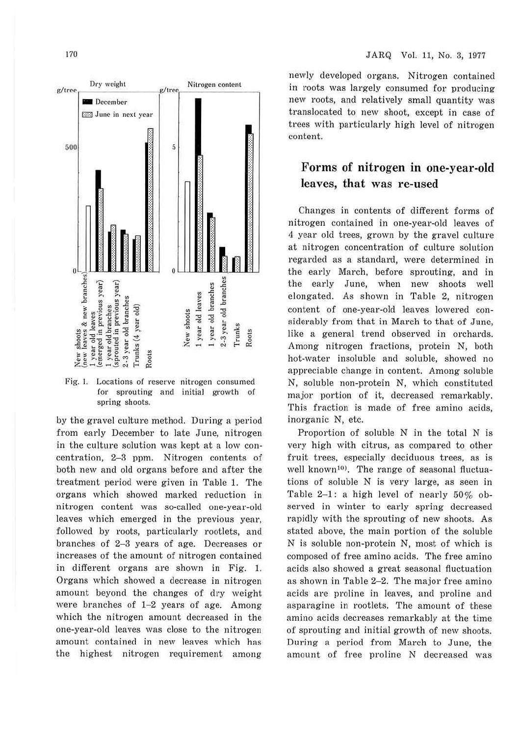

Fig. l. Locations of reserve nitrogen consumed for sprouting and initial growth of spring shoots.

by the gravel culture method. During a period from early December to late June, nitrogen in the culture solution was kept at a low concentration, 2-3 ppm. Nitrogen contents of both new and old organs before and after the treatment period were given in Table 1. The organs which showed marked reduction in nitrogen content was so-called one-year-old leaves which emerged in the previous year, followed by roots, particularly rootlets, and branches of 2-3 years of age. Decreases or increases of the amount of nitrogen contained in different organs are shown in Fig. 1. Organs which showed a decrease in nitrogen amount beyond the changes of dry weight were branches of 1-2 years of age. Among which the nitrogen amount decreased in the one-year-old leaves was close to the nitrogen amount contained in new leaves which has the highest nitrogen requirement among

newly developed organs. Nitrogen contained in roots was largely consumed for producing new roots, and relatively small quantity was translocated to new shoot, except in case of trees with particularly high level of nitrogen content.

# **Forms of nitrogen in one-year-old leaves, that was re-used**

Changes in contents of different forms of nitrogen contained in one-year-old leaves of 4 year old trees, grown by the gravel culture at nitrogen concentration of culture solution regarded as a standard, were determined in the early March, before. sprouting, and in the early June, when new shoots well elongated. As shown in Table 2, nitrogen content of one-year-old leaves lowered considerably from that in March to that of June, like a general trend observed in orchards. Among nitrogen fractions, protein N, both hot-water insoluble and soluble, showed no appreciable change in content. Among soluble N, soluble non-protein N, which constituted major portion of it, decreased remarkably. This fraction is made of free amino acids, inorganic N, etc.

Proportion of soluble N in the total N is very high with citrus, as compared to other fruit trees, especially deciduous trees, as is well known<sup>10)</sup>. The range of seasonal fluctuations of soluble N is very large, as seen in Table 2-1: a high level of nearly 50% observed in winter to early spring decreased rapidly with the sprouting of new shoots. As stated above, the main portion of the soluble N is soluble non-protein N, most of which is composed of free amino acids. The free amino acids also showed a great seasonal fluctuation as shown in Table 2-2. The major free amino acids are proline in leaves, and proline and asparagine in rootlets. The amount of these amino acids decreases remarkably at the time of sprouting and initial growth of new shoots. During a period from March to June, the amount of free proline N decreased was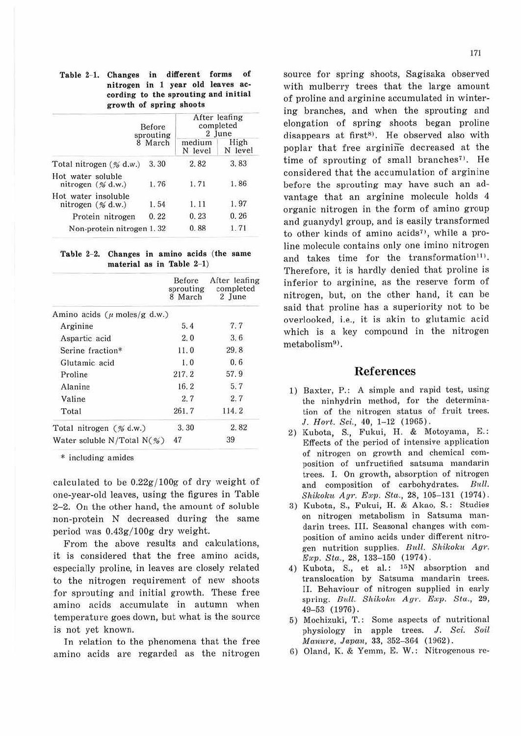#### Table 2-1. Changes in different forms of **nitrogen in 1 year old leaves according to the sprouting and initial growth of spring shoots**

|                                             | Before<br>sprouting | After leafing<br>completed<br>2 June |                 |
|---------------------------------------------|---------------------|--------------------------------------|-----------------|
|                                             | 8 March             | medium<br>N level                    | High<br>N level |
| Total nitrogen (% d.w.)                     | 3.30                | 2.82                                 | 3.83            |
| Hot water soluble<br>nitrogen $(\%$ d.w.)   | 1.76                | 1.71                                 | 1.86            |
| Hot water insoluble<br>nitrogen $(\%$ d.w.) | 1.54                | 1. 11                                | 1.97            |
| Protein nitrogen                            | 0.22                | 0.23                                 | 0.26            |
| Non-protein nitrogen 1.32                   |                     | 0.88                                 | 1.71            |

Table 2-2. Changes in amino acids (the same **material as in Table 2-1)** 

|                                        | Before<br>sprouting<br>8 March | After leafing<br>completed<br>2 June |
|----------------------------------------|--------------------------------|--------------------------------------|
| Amino acids ( $\mu$ moles/g d.w.)      |                                |                                      |
| Arginine                               | 5.4                            | 7,7                                  |
| Aspartic acid                          | 2.0                            | 3.6                                  |
| Serine fraction*                       | 11.0                           | 29.8                                 |
| Glutamic acid                          | 1.0                            | 0.6                                  |
| Proline                                | 217.2                          | 57.9                                 |
| Alanine                                | 16.2                           | 5.7                                  |
| Valine                                 | 2.7                            | 2.7                                  |
| Total                                  | 261.7                          | 114.2                                |
| Total nitrogen $(\%$ d.w.)             | 3.30                           | 2.82                                 |
| Water soluble N/Total $N(\mathcal{C})$ | 47                             | 39                                   |

\* including amides

calculated to be  $0.22g/100g$  of dry weight of one-year-old leaves, using the figures in Table 2-2. On the other hand, the amount of soluble non-protein N decreased during the same period was  $0.43g/100g$  dry weight.

From the above results and calculations, it is considered that the free amino acids, especially proline, in leaves are closely related to the nitrogen requirement of new shoots for sprouting and initial growth. These free amino acids accumulate in autumn when temperature goes down, but what is the source is not yet known.

In relation to the phenomena that the free amino acids are regarded as the nitrogen source for spring shoots, Sagisaka observed with mulberry trees that the large amount of proline and arginine accumulated in wintering branches, and when the sprouting and elongation of spring shoots began proline disappears at first<sup>8)</sup>. He observed also with poplar that free arginine decreased at the time of sprouting of small branches<sup> $7$ )</sup>. He considered that the accumulation of arginine before the sprouting may have such an advantage that an arginine molecule holds 4 organic nitrogen in the form of amino group and guanydyl group, and is easily transformed to other kinds of amino acids<sup>7</sup>, while a proline molecule contains only one imino nitrogen and takes time for the transformation<sup>11</sup>). Therefore, it is hardly denied that proline is inferior to arginine, as the reserve form of nitrogen, but, on the other hand, it can be said that proline has a superiority not to be overlooked, i.e., it is akin to glutamic acid which is a key compound in the nitrogen metabolism<sup>9)</sup>.

#### References

- 1) Baxter, P.: A simple and rapid test, using the ninhydrin method, for the determination of the nitrogen status of fruit trees. J. Hort. Sci., 40, 1-12 (1965).
- 2) Kubota, S., Fukui, H. & Motoyama, E.: Effects of the period of intensive application of nitrogen on growth and chemical composition of unfructified satsuma mandarin trees. I. On growth, absorption of nitrogen and composition of carbohydrates. Bull. *Shikoku Agr. Exp. Sta,.,* 28, 105-131 (1974) .
- 3) Kubota, S., Fukui, H. & Akao, S.: Studies on nitrogen metabolism in Satsuma mandarin trees. III. Seasonal changes with composition of amino acids under different nitrogen nutrition supplies. *Bull. Shikolm Agr. Exp. Sta.*, 28, 133-150 (1974).
- 4) Kubota, S., et al.: <sup>15</sup>N absorption and translocation by Satsuma mandarin trees. II. Behaviour of nitrogen supplied in early spring. *Bull. Shikoku Agr. Exp. Sta.*, 29, 49-53 (1976).
- 5) Mochizuki, T.: Some aspects of nutritional physiology in apple trees. J. *Sci. Soil*  Manure, Japan, 33, 352-364 (1962).
- 6) Oland, K. & Yemm, E. W.: Nitrogenous re-